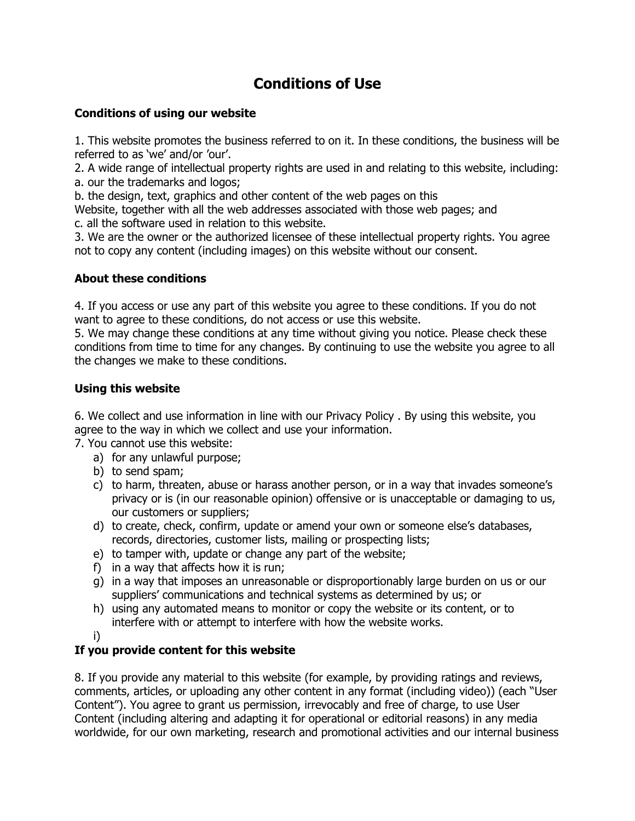# **Conditions of Use**

#### **Conditions of using our website**

1. This website promotes the business referred to on it. In these conditions, the business will be referred to as 'we' and/or 'our'.

2. A wide range of intellectual property rights are used in and relating to this website, including: a. our the trademarks and logos;

b. the design, text, graphics and other content of the web pages on this

Website, together with all the web addresses associated with those web pages; and c. all the software used in relation to this website.

3. We are the owner or the authorized licensee of these intellectual property rights. You agree not to copy any content (including images) on this website without our consent.

## **About these conditions**

4. If you access or use any part of this website you agree to these conditions. If you do not want to agree to these conditions, do not access or use this website.

5. We may change these conditions at any time without giving you notice. Please check these conditions from time to time for any changes. By continuing to use the website you agree to all the changes we make to these conditions.

#### **Using this website**

6. We collect and use information in line with our Privacy Policy . By using this website, you agree to the way in which we collect and use your information.

7. You cannot use this website:

- a) for any unlawful purpose;
- b) to send spam;
- c) to harm, threaten, abuse or harass another person, or in a way that invades someone"s privacy or is (in our reasonable opinion) offensive or is unacceptable or damaging to us, our customers or suppliers;
- d) to create, check, confirm, update or amend your own or someone else"s databases, records, directories, customer lists, mailing or prospecting lists;
- e) to tamper with, update or change any part of the website;
- f) in a way that affects how it is run;
- g) in a way that imposes an unreasonable or disproportionably large burden on us or our suppliers' communications and technical systems as determined by us; or
- h) using any automated means to monitor or copy the website or its content, or to interfere with or attempt to interfere with how the website works.
- i)

## **If you provide content for this website**

8. If you provide any material to this website (for example, by providing ratings and reviews, comments, articles, or uploading any other content in any format (including video)) (each "User Content"). You agree to grant us permission, irrevocably and free of charge, to use User Content (including altering and adapting it for operational or editorial reasons) in any media worldwide, for our own marketing, research and promotional activities and our internal business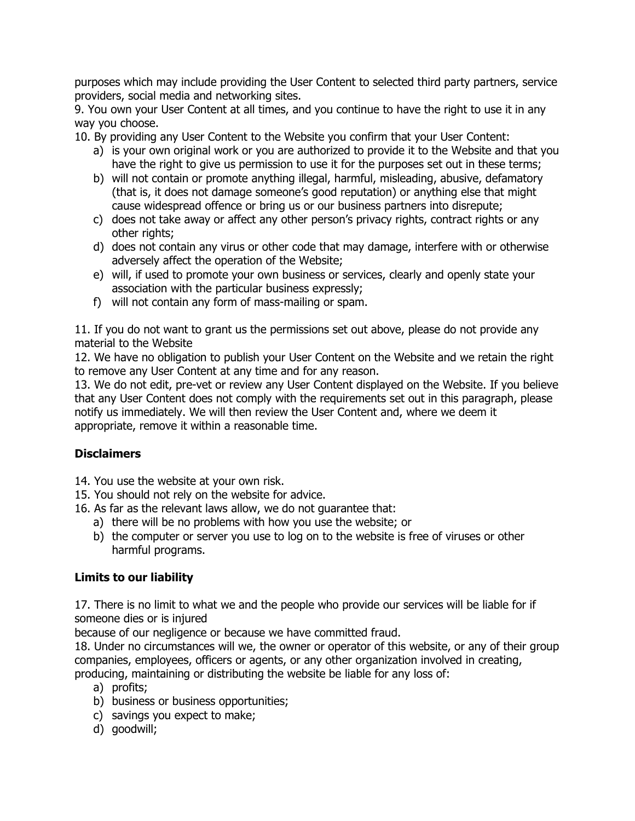purposes which may include providing the User Content to selected third party partners, service providers, social media and networking sites.

9. You own your User Content at all times, and you continue to have the right to use it in any way you choose.

10. By providing any User Content to the Website you confirm that your User Content:

- a) is your own original work or you are authorized to provide it to the Website and that you have the right to give us permission to use it for the purposes set out in these terms;
- b) will not contain or promote anything illegal, harmful, misleading, abusive, defamatory (that is, it does not damage someone"s good reputation) or anything else that might cause widespread offence or bring us or our business partners into disrepute;
- c) does not take away or affect any other person"s privacy rights, contract rights or any other rights;
- d) does not contain any virus or other code that may damage, interfere with or otherwise adversely affect the operation of the Website;
- e) will, if used to promote your own business or services, clearly and openly state your association with the particular business expressly;
- f) will not contain any form of mass-mailing or spam.

11. If you do not want to grant us the permissions set out above, please do not provide any material to the Website

12. We have no obligation to publish your User Content on the Website and we retain the right to remove any User Content at any time and for any reason.

13. We do not edit, pre-vet or review any User Content displayed on the Website. If you believe that any User Content does not comply with the requirements set out in this paragraph, please notify us immediately. We will then review the User Content and, where we deem it appropriate, remove it within a reasonable time.

## **Disclaimers**

- 14. You use the website at your own risk.
- 15. You should not rely on the website for advice.
- 16. As far as the relevant laws allow, we do not guarantee that:
	- a) there will be no problems with how you use the website; or
	- b) the computer or server you use to log on to the website is free of viruses or other harmful programs.

## **Limits to our liability**

17. There is no limit to what we and the people who provide our services will be liable for if someone dies or is injured

because of our negligence or because we have committed fraud.

18. Under no circumstances will we, the owner or operator of this website, or any of their group companies, employees, officers or agents, or any other organization involved in creating, producing, maintaining or distributing the website be liable for any loss of:

- a) profits;
- b) business or business opportunities;
- c) savings you expect to make;
- d) goodwill;